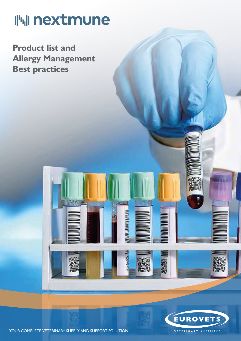# **哪 nextmune**

**Product list and Allergy Management Best practices**



YOUR COMPLETE VETERINARY SUPPLY AND SUPPORT SOLUTION

*<u>UNITED AT THE RESERVE</u>* 

**Ill**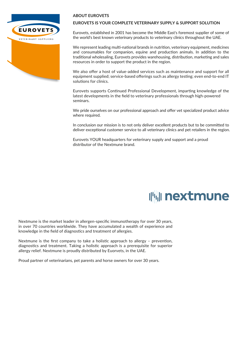

#### **ABOUT EUROVETS**

#### **EUROVETS IS YOUR COMPLETE VETERINARY SUPPLY & SUPPORT SOLUTION**

Eurovets, established in 2001 has become the Middle East's foremost supplier of some of the world's best known veterinary products to veterinary clinics throughout the UAE.

We represent leading multi-national brands in nutrition, veterinary equipment, medicines and consumables for companion, equine and production animals. In addition to the traditional wholesaling, Eurovets provides warehousing, distribution, marketing and sales resources in order to support the product in the region.

We also offer a host of value-added services such as maintenance and support for all equipment supplied; service-based offerings such as allergy testing; even end-to-end IT solutions for clinics.

Eurovets supports Continued Professional Development, imparting knowledge of the latest developments in the field to veterinary professionals through high-powered seminars.

We pride ourselves on our professional approach and offer vet specialized product advice where required.

In conclusion our mission is to not only deliver excellent products but to be committed to deliver exceptional customer service to all veterinary clinics and pet retailers in the region.

Eurovets YOUR headquarters for veterinary supply and support and a proud distributor of the Nextmune brand.

## **||'||| nextmune**

Nextmune is the market leader in allergen-specific immunotherapy for over 30 years, in over 70 countries worldwide. They have accumulated a wealth of experience and knowledge in the field of diagnostics and treatment of allergies.

Nextmune is the first company to take a holistic approach to allergy – prevention, diagnostics and treatment. Taking a holistic approach is a prerequisite for superior allergy relief. Nextmune is proudly distributed by Euorvets, in the UAE.

Proud partner of veterinarians, pet parents and horse owners for over 30 years.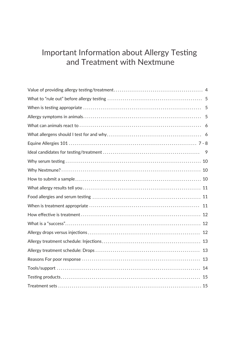### Important Information about Allergy Testing and Treatment with Nextmune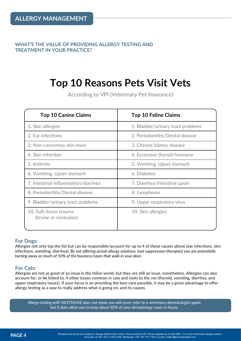**WHAT'S THE VALUE OF PROVIDING ALLERGY TESTING AND TREATMENT IN YOUR PRACTICE?**

### **Top 10 Reasons Pets Visit Vets**

According to VPI (Veterinary Pet Insurance)

| <b>Top 10 Canine Claims</b>                     | <b>Top 10 Feline Claims</b>       |
|-------------------------------------------------|-----------------------------------|
| 1. Skin allergies                               | 1. Bladder/urinary tract problems |
| 2. Ear infections                               | 2. Periodontitis/Dental disease   |
| 3. Non-cancerous skin mass                      | 3. Chronic kidney disease         |
| 4. Skin infection                               | 4. Excessive thyroid hormone      |
| 5. Arthritis                                    | 5. Vomiting, Upset stomach        |
| 6. Vomiting, Upset stomach                      | 6. Diabetes                       |
| 7. Intestinal inflammation/diarrhea             | 7. Diarrhea/Intestinal upset      |
| 8. Periodontitis/Dental disease                 | 8. Lymphoma                       |
| 9. Bladder/urinary tract problems               | 9. Upper respiratory virus        |
| 10. Soft tissue trauma<br>(bruise or contusion) | 10. Skin allergies                |

#### **For Dogs:**

Allergies not only top the list but can be responsible/account for up to 4 of these causes above (ear infections, skin infections, vomiting, diarrhea). *By not offering actual allergy solutions, (not suppression therapies) you are potentially turning away as much of 50% of the business/cases that walk in your door.*

#### **For Cats:**

Allergies are not as great of an issue in the feline world, but they are still an issue, nonetheless. Allergies can also account for, or be linked to, 4 other issues common in cats and visits to the vet (thyroid, vomiting, diarrhea, and upper respiratory issues). If your focus is on providing the best care possible, it may be a great advantage to offer allergy testing as a way to really address what is going on, and its causes.

*Allergy testing with NEXTMUNE does not mean you will never refer to a veterinary dermatologist again, but it does allow you to keep about 80% of your dermatology cases in house.*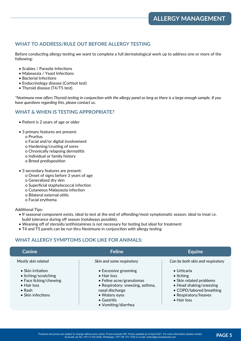#### **WHAT TO ADDRESS/RULE OUT BEFORE ALLERGY TESTING**

Before conducting allergy testing we want to complete a full dermatological work up to address one or more of the following:

- Scabies / Parasite Infections
- Malassezia / Yeast Infections
- Bacterial Infections
- Endocrinology disease (Cortisol test)
- Thyroid disease (T4/T5 test).

*\*Nextmune now offers Thyroid testing in conjunction with the allergy panel as long as there is a large enough sample. If you have questions regarding this, please contact us.*

#### **WHAT & WHEN IS TESTING APPROPRIATE?**

- Patient is 2 years of age or older
- 3 primary features are present:
	- o Pruritus
	- o Facial and/or digital involvement
	- o Hardening/crusting of sores
	- o Chronically relapsing dermatitis
	- o Individual or family history
	- o Breed predisposition
- 3 secondary features are present:
	- o Onset of signs before 3 years of age
	- o Generalized dry skin
	- o Superficial staphylococcal infection
	- o Cutaneous Malassezia infection
	- o Bilateral external otitis
	- o Facial erythema

Additional Tips:

- If seasonal component exists, ideal to test at the end of offending/most symptomatic season; ideal to treat i.e. build tolerance during off season (notalways possible).
- Weaning off of steroids/antihistamines is not necessary for testing but ideal for treatment
- T4 and T5 panels can be run thru Nextmune in conjunction with allergy testing

#### **WHAT ALLERGY SYMPTOMS LOOK LIKE FOR ANIMALS:**

| <b>Canine</b>                                                                                                                                     | <b>Feline</b>                                                                                                                                                                                 | <b>Equine</b>                                                                                                                                                             |
|---------------------------------------------------------------------------------------------------------------------------------------------------|-----------------------------------------------------------------------------------------------------------------------------------------------------------------------------------------------|---------------------------------------------------------------------------------------------------------------------------------------------------------------------------|
| Mostly skin related                                                                                                                               | Skin and some respiratory                                                                                                                                                                     | Can be both skin and respiratory                                                                                                                                          |
| $\bullet$ Skin irritation<br>• Itching/scratching<br>• Face licking/chewing<br>$\bullet$ Hair loss<br>$\bullet$ Rash<br>$\bullet$ Skin infections | • Excessive grooming<br>$\bullet$ Hair loss<br>• Feline acne/granulomas<br>• Respiratory: sneezing, asthma,<br>nasal discharge<br>• Watery eyes<br>$\bullet$ Gastritis<br>• Vomiting/diarrhea | $\bullet$ Urticaria<br>$\bullet$ Itching<br>• Skin related problems<br>• Head shaking/sneezing<br>• COPD/labored breathing<br>• Respiratory/heaves<br>$\bullet$ Hair loss |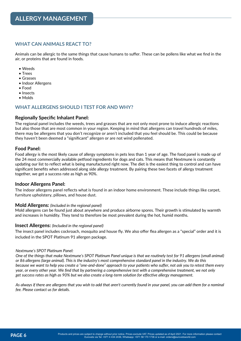#### **WHAT CAN ANIMALS REACT TO?**

Animals can be allergic to the same things that cause humans to suffer. These can be pollens like what we find in the air, or proteins that are found in foods.

- Weeds
- Trees
- Grasses
- Indoor Allergens
- Food
- Insects
- Molds

#### **WHAT ALLERGENS SHOULD I TEST FOR AND WHY?**

#### **Regionally Specific Inhalant Panel:**

The regional panel includes the weeds, trees and grasses that are not only most prone to induce allergic reactions but also those that are most common in your region. Keeping in mind that allergens can travel hundreds of miles, there may be allergens that you don't recognize or aren't included that you feel should be. This could be because they haven't been deemed a "significant" allergen or are not wind pollenated.

#### **Food Panel:**

Food allergy is the most likely cause of allergy symptoms in pets less than 1 year of age. The food panel is made up of the 24 most commercially available petfood ingredients for dogs and cats. This means that Nextmune is constantly updating our list to reflect what is being manufactured right now. The diet is the easiest thing to control and can have significant benefits when addressed along side allergy treatment. By pairing these two facets of allergy treatment together, we get a success rate as high as 90%.

#### **Indoor Allergens Panel:**

The indoor allergens panel reflects what is found in an indoor home environment. These include things like carpet, furniture upholstery, pillows, and house dust.

#### **Mold Allergens:** *(Included in the regional panel)*

Mold allergens can be found just about anywhere and produce airborne spores. Their growth is stimulated by warmth and increases in humidity. They tend to therefore be most prevalent during the hot, humid months.

#### **Insect Allergens:** *(Included in the regional panel)*

The insect panel includes cockroach, mosquito and house fly. We also offer flea allergen as a "special" order and it is included in the SPOT Platinum 91 allergen package.

#### *Nextmune's SPOT Platinum Panel:*

*One of the things that make Nextmune's SPOT Platinum Panel unique is that we routinely test for 91 allergens (small animal) or 86 allergens (large animal). This is the industry's most comprehensive standard panel in the industry. We do this because we want to help you create a "one-and-done" approach to your patients who suffer, not ask you to retest them every year, or every other year. We find that by partnering a comprehensive test with a comprehensive treatment, we not only get success rates as high as 90% but we also create a long-term solution for effective allergy management.*

*As always if there are allergens that you wish to add that aren*'*t currently found in your panel, you can add them for a nominal fee. Please contact us for details.*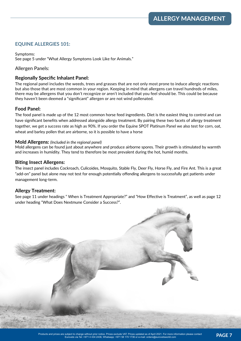#### **EQUINE ALLERGIES 101:**

Symptoms: See page 5 under "What Allergy Symptoms Look Like for Animals."

#### Allergen Panels:

#### **Regionally Specific Inhalant Panel:**

The regional panel includes the weeds, trees and grasses that are not only most prone to induce allergic reactions but also those that are most common in your region. Keeping in mind that allergens can travel hundreds of miles, there may be allergens that you don't recognize or aren't included that you feel should be. This could be because they haven't been deemed a "significant" allergen or are not wind pollenated.

#### **Food Panel:**

The food panel is made up of the 12 most common horse feed ingredients. Diet is the easiest thing to control and can have significant benefits when addressed alongside allergy treatment. By pairing these two facets of allergy treatment together, we get a success rate as high as 90%. If you order the Equine SPOT Platinum Panel we also test for corn, oat, wheat and barley pollen that are airborne, so it is possible to have a horse

#### **Mold Allergens:** *(Included in the regional panel)*

Mold allergens can be found just about anywhere and produce airborne spores. Their growth is stimulated by warmth and increases in humidity. They tend to therefore be most prevalent during the hot, humid months.

#### **Biting Insect Allergens:**

The insect panel includes Cockroach, Culicoides, Mosquito, Stable Fly, Deer Fly, Horse Fly, and Fire Ant. This is a great "add-on" panel but alone may not test for enough potentially offending allergens to successfully get patients under management long-term.

#### **Allergy Treatment:**

See page 11 under headings " When is Treatment Appropriate?" and "How Effective is Treatment", as well as page 12 under heading "What Does Nextmune Consider a Success?".

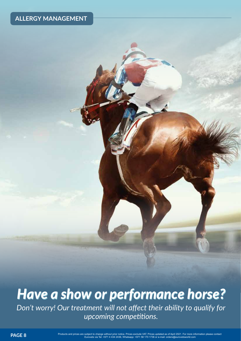## *Have a show or performance horse? Have a show or performance horse? Don't worry! Our treatment will not affect their ability to qualify for upcoming competitions.*

PAGE 8<br>Products and prices are subject to change without prior notice. Prices exclude VAT. Prices updated as of April 2021. For more information please contact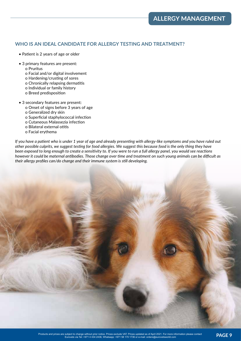#### **WHO IS AN IDEAL CANDIDATE FOR ALLERGY TESTING AND TREATMENT?**

- Patient is 2 years of age or older
- 3 primary features are present:
	- o Pruritus
	- o Facial and/or digital involvement
	- o Hardening/crusting of sores
	- o Chronically relapsing dermatitis
	- o Individual or family history
	- o Breed predisposition
- 3 secondary features are present:
	- o Onset of signs before 3 years of age
	- o Generalized dry skin
	- o Superficial staphylococcal infection
	- o Cutaneous Malassezia infection
	- o Bilateral external otitis
	- o Facial erythema

*If you have a patient who is under 1 year of age and already presenting with allergy-like symptoms and you have ruled out other possible culprits, we suggest testing for food allergies. We suggest this because food is the only thing they have been exposed to long enough to create a sensitivity to. If you were to run a full allergy panel, you would see reactions however it could be maternal antibodies. Those change over time and treatment on such young animals can be difficult as their allergy profiles can/do change and their immune system is still developing.*

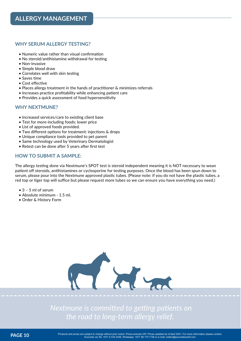#### **WHY SERUM ALLERGY TESTING?**

- Numeric value rather than visual confirmation
- No steroid/antihistamine withdrawal for testing
- Non-invasive
- Simple blood draw
- Correlates well with skin testing
- Saves time
- Cost effective
- Places allergy treatment in the hands of practitioner & minimizes referrals
- Increases practice profitability while enhancing patient care
- Provides a quick assessment of food hypersensitivity

#### **WHY NEXTMUNE?**

- Increased services/care to existing client base
- Test for more-including foods; lower price
- List of approved foods provided.
- Two different options for treatment: injections & drops
- Unique compliance tools provided to pet parent
- Same technology used by Veterinary Dermatologist
- Retest can be done after 5 years after first test

#### **HOW TO SUBMIT A SAMPLE:**

The allergy testing done via Nextmune's SPOT test is steroid independent meaning it is NOT necessary to wean patient off steroids, antihistamines or cyclosporine for testing purposes. Once the blood has been spun down to serum, please pour into the Nextmune approved plastic tubes. (Please note: if you do not have the plastic tubes, a red top or tiger top will suffice but please request more tubes so we can ensure you have everything you need.)

- $\bullet$  3 5 ml of serum
- Absolute minimum 1.5 ml.
- Order & History Form



*Nextmune is committed to getting patients on the road to long-term allergy relief.*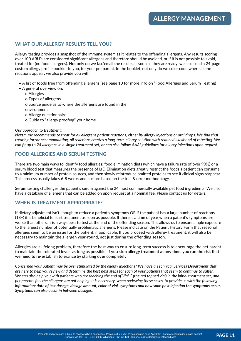#### **WHAT OUR ALLERGY RESULTS TELL YOU?**

Allergy testing provides a snapshot of the immune system as it relates to the offending allergens. Any results scoring over 100 ARU's are considered significant allergens and therefore should be avoided, or if it is not possible to avoid, treated for (no food allergens). Not only do we fax/email the results as soon as they are ready, we also send a 24-page custom allergy profile booklet to you, for your pet parent. In the booklet, not only do we color code where all the reactions appear, we also provide you with:

- A list of foods free from offending allergens (see page 10 for more info on "Food Allergies and Serum Testing)
- A general overview on:
	- o Allergies
	- o Types of allergens
	- o Source guide as to where the allergens are found in the
	- environment
	- o Allergy questionnaire
	- o Guide to "allergy proofing" your home

#### *Our approach to treatment:*

*Nextmune recommends to treat for all allergens patient reactions, either by allergy injections or oral drops. We find that treating for/or accommodating, all reactions creates a long-term allergy solution with reduced likelihood of retesting. We can fit up to 24 allergens in a single treatment set, or can also follow AAAI guidelines for allergy injections upon request.*

#### **FOOD ALLERGIES AND SERUM TESTING**

There are two main ways to identify food allergies: food elimination diets (which have a failure rate of over 90%) or a serum blood test that measures the presence of IgE. Elimination diets greatly restrict the foods a patient can consume to a minimum number of protein sources, and then slowly reintroduce omitted proteins to see if clinical signs reappear. This process usually takes 6-8 weeks and is more based on the trial & error methodology.

Serum testing challenges the patient's serum against the 24 most commercially available pet food ingredients. We also have a database of allergens that can be added on upon request at a nominal fee. Please contact us for details.

#### **WHEN IS TREATMENT APPROPRIATE?**

If dietary adjustment isn't enough to reduce a patient's symptoms OR if the patient has a large number of reactions (18+) it is beneficial to start treatment as soon as possible. If there is a time of year when a patient's symptoms are worse than others, it is always best to test at the end of the offending season. This allows us to ensure ample exposure to the largest number of potentially problematic allergens. Please indicate on the Patient History Form that seasonal allergies seem to be an issue for the patient, if applicable. If you proceed with allergy treatment, it will also be necessary to maintain the allergen year-round, not just during the offending season.

Allergies are a lifelong problem, therefore the best way to ensure long-term success is to encourage the pet parent to maintain the tolerated levels as long as possible. **If you stop allergy treatment at any time, you run the risk that we need to re-establish tolerance by starting over completely**.

*Concerned your patient may be over stimulated by the allergy injections? We have a Technical Services Department that are here to help you review and determine the best next steps for each of your patients that seem to continue to suffer. We can also help you with patients who are reaching the end of Vial C (the red topped vial) in the initial treatment set, and pet parents feel the allergens are not helping. It is necessary, when reviewing these cases, to provide us with the following information: date of last dosage, dosage amount, color of vial, symptoms and how soon post injection the symptoms occur. Symptoms can also occur in between dosages.*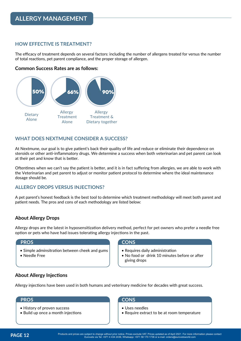#### **HOW EFFECTIVE IS TREATMENT?**

The efficacy of treatment depends on several factors: including the number of allergens treated for versus the number of total reactions, pet parent compliance, and the proper storage of allergen.

#### **Common Success Rates are as follows:**



#### **WHAT DOES NEXTMUNE CONSIDER A SUCCESS?**

At Nextmune, our goal is to give patient's back their quality of life and reduce or eliminate their dependence on steroids or other anti-inflammatory drugs. We determine a success when both veterinarian and pet parent can look at their pet and know that is better.

Oftentimes when we can't say the patient is better, and it is in fact suffering from allergies, we are able to work with the Veterinarian and pet parent to adjust or monitor patient protocol to determine where the ideal maintenance dosage should be.

#### **ALLERGY DROPS VERSUS INJECTIONS?**

A pet parent's honest feedback is the best tool to determine which treatment methodology will meet both parent and patient needs. The pros and cons of each methodology are listed below:

#### **About Allergy Drops**

Allergy drops are the latest in hyposensitization delivery method, perfect for pet owners who prefer a needle free option or pets who have had issues tolerating allergy injections in the past.

#### **PROS CONS**

- Simple adminsitration between cheek and gums
- Needle Free

- Requires daily administration
- No food or drink 10 minutes before or after giving drops

#### **About Allergy Injections**

Allergy injections have been used in both humans and veterinary medicine for decades with great success.

#### **PROS CONS**

- History of proven success
- Build up once a month injections

- Uses needles
- Require extract to be at room temperature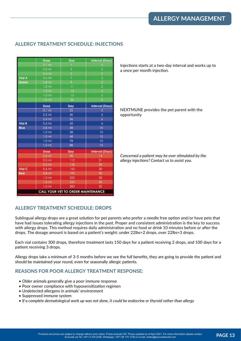|               | Dose              | Day                                | <b>Interval (Days</b>  |
|---------------|-------------------|------------------------------------|------------------------|
|               | $0.1$ ml          |                                    | o                      |
|               | $0.2$ ml          | з                                  | 2                      |
|               | $0.4$ ml          | 5                                  | 2                      |
| Viol A        | 0.6 ml            | ž                                  | $\overline{2}$         |
| Green         | $0.8$ ml          | 9                                  | ź                      |
|               | $1.0$ ml          |                                    | 2                      |
|               | $1.0$ ml          | 13                                 | ż                      |
|               | $1.0$ ml          | 15                                 | 5                      |
|               | $1.0$ ml          | 20                                 | š                      |
|               | Dose              | Day                                | <b>Interval (Days)</b> |
|               | $0.1$ ml          | 25                                 | 5                      |
|               | $0.2$ ml          | 30                                 | 5                      |
|               | $0.4$ ml          | 36                                 | 6                      |
| <b>Vial B</b> | $0.6$ ml          | 42                                 | 6                      |
| Blue          | $0.8$ ml          | 48                                 | 10                     |
|               | 1.0 <sub>ml</sub> | 58                                 | 10                     |
|               | $1.0$ ml          | 68                                 | 10                     |
|               | 1.0 <sub>m</sub>  | 78                                 | 10                     |
|               | 1.0 <sub>m1</sub> | 88                                 | 10                     |
|               | Dose              | Day                                | <b>Interval (Days)</b> |
|               | $0.3$ ml          | 98                                 |                        |
|               | $0.5$ ml          | 112                                | 21                     |
|               | $0.5$ ml          | 133                                | 30                     |
| Vial C        | 0.6 ml            | 163                                | 30                     |
| Red           | $0.8$ mt          | 193                                | 30                     |
|               | $1.0$ ml          | 223                                | 30                     |
|               | 1.0 <sub>mt</sub> | 255                                | 30                     |
|               | $1.0$ ml          | 283                                | 30                     |
|               |                   | CALL YOUR VET TO ORDER MAINTENANCE |                        |

#### **ALLERGY TREATMENT SCHEDULE: INJECTIONS**

Injections starts at a two-day interval and works up to a once per month injection.

NEXTMUNE provides the pet parent with the opportunity

*Concerned a patient may be over stimulated by the allergy injections? Contact us to assist you.*

#### **ALLERGY TREATMENT SCHEDULE: DROPS**

Sublingual allergy drops are a great solution for pet parents who prefer a needle free option and/or have pets that have had issues tolerating allergy injections in the past. Proper and consistent administration is the key to success with allergy drops. This method requires daily administration and no food or drink 10 minutes before or after the drops. The dosage amount is based on a patient's weight: under 22lbs=2 drops, over 22lbs=3 drops.

Each vial contains 300 drops, therefore treatment lasts 150 days for a patient receiving 2 drops, and 100 days for a patient receiving 3 drops.

Allergy drops take a minimum of 3-5 months before we see the full benefits, they are going to provide the patient and should be maintained year round, even for seasonally allergic patients.

#### **REASONS FOR POOR ALLERGY TREATMENT RESPONSE:**

- Older animals generally give a poor immune response
- Poor owner compliance with hyposensitization regimen
- Undetected allergens in animals' environment
- Suppressed immune system
- *If a complete dermatological work up was not done, it could be endocrine or thyroid rather than allergy*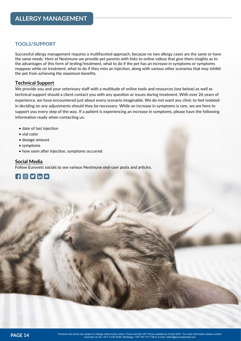#### **TOOLS/SUPPORT**

Successful allergy management requires a multifaceted approach, because no two allergy cases are the same or have the same needs. Here at Nextmune we provide pet parents with links to online videos that give them insights as to the advantages of this form of testing/treatment, what to do if the pet has an increase in symptoms or symptoms reappear while on treatment, what to do if they miss an injection, along with various other scenarios that may inhibit the pet from achieving the maximum benefits.

#### **Technical Support**

We provide you and your veterinary staff with a multitude of online tools and resources (see below) as well as technical support should a client contact you with any question or issues during treatment. With over 26 years of experience, we have encountered just about every scenario imaginable. We do not want any clinic to feel isolated in deciding on any adjustments should they be necessary. While an increase in symptoms is rare, we are here to support you every step of the way. If a patient is experiencing an increase in symptoms, please have the following information ready when contacting us:

- date of last injection
- vial color
- dosage amount
- symptoms
- how soon after injection, symptoms occurred

#### **Social Media**

Follow Eurovets socials to see various Nextmune end-user posts and articles.

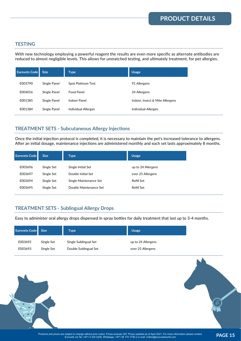#### **TESTING**

With new technology employing a powerful reagent the results are even more specific as alternate antibodies are reduced to almost negligible levels. This allows for unmatched testing, and ultimately treatment, for pet allergies.

| <b>Eurovets Code</b> | <b>Size</b>  | <b>Type</b>         | <b>Usage</b>                    |
|----------------------|--------------|---------------------|---------------------------------|
| E003790              | Single Panel | Spot Platinum Test  | 91 Allergens                    |
| E004016              | Single Panel | Food Panel          | 24 Allergens                    |
| E001385              | Single Panel | <b>Indoor Panel</b> | Indoor, Insect & Mite Allergens |
| E001384              | Single Panel | Individual Allergen | Individual Allergen             |

#### **TREATMENT SETS - Subcutaneous Allergy Injections**

Once the initial injection protocol is completed, it is necessary to maintain the pet's increased tolerance to allergens. After an initial dosage, maintenance injections are administered monthly and each set lasts approximately 8 months.

| <b>Eurovets Code</b> | <b>Size</b> | Type                   | <b>Usage</b>       |
|----------------------|-------------|------------------------|--------------------|
| E003696              | Single Set  | Single Initial Set     | up to 24 Allergens |
| E003697              | Single Set  | Double Initial Set     | over 25 Allergens  |
| E003694              | Single Set  | Single Maintenance Set | Refill Set         |
| E003695              | Single Set  | Double Maintenance Set | Refill Set         |
|                      |             |                        |                    |

### **TREATMENT SETS - Sublingual Allergy Drops**

Easy to administer oral allergy drops dispensed in spray bottles for daily treatment that last up to 3-4 months.

| Eurovets Code Size |            | Type                  | <b>Usage</b>       |
|--------------------|------------|-----------------------|--------------------|
| E003692            | Single Set | Single Sublingual Set | up to 24 Allergens |
| E003693            | Single Set | Double Sublingual Set | over 25 Allergens  |